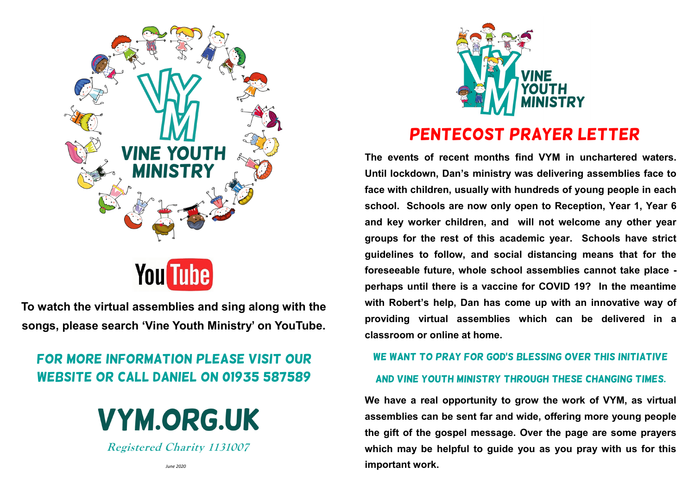

**To watch the virtual assemblies and sing along with the songs, please search 'Vine Youth Ministry' on YouTube.**

## For more information please visit our website or call Daniel on 01935 587589

# **VYM.ORG.UK**

**Registered Charity 1131007**



## Pentecost Prayer Letter

**The events of recent months find VYM in unchartered waters. Until lockdown, Dan's ministry was delivering assemblies face to face with children, usually with hundreds of young people in each school. Schools are now only open to Reception, Year 1, Year 6 and key worker children, and will not welcome any other year groups for the rest of this academic year. Schools have strict guidelines to follow, and social distancing means that for the foreseeable future, whole school assemblies cannot take place perhaps until there is a vaccine for COVID 19? In the meantime with Robert's help, Dan has come up with an innovative way of providing virtual assemblies which can be delivered in a classroom or online at home.**

### WE WANT TO PRAY FOR GOD'S BLESSING OVER THIS INITIATIVE

### and Vine youth ministry through these changing times.

**We have a real opportunity to grow the work of VYM, as virtual assemblies can be sent far and wide, offering more young people the gift of the gospel message. Over the page are some prayers which may be helpful to guide you as you pray with us for this important work.**